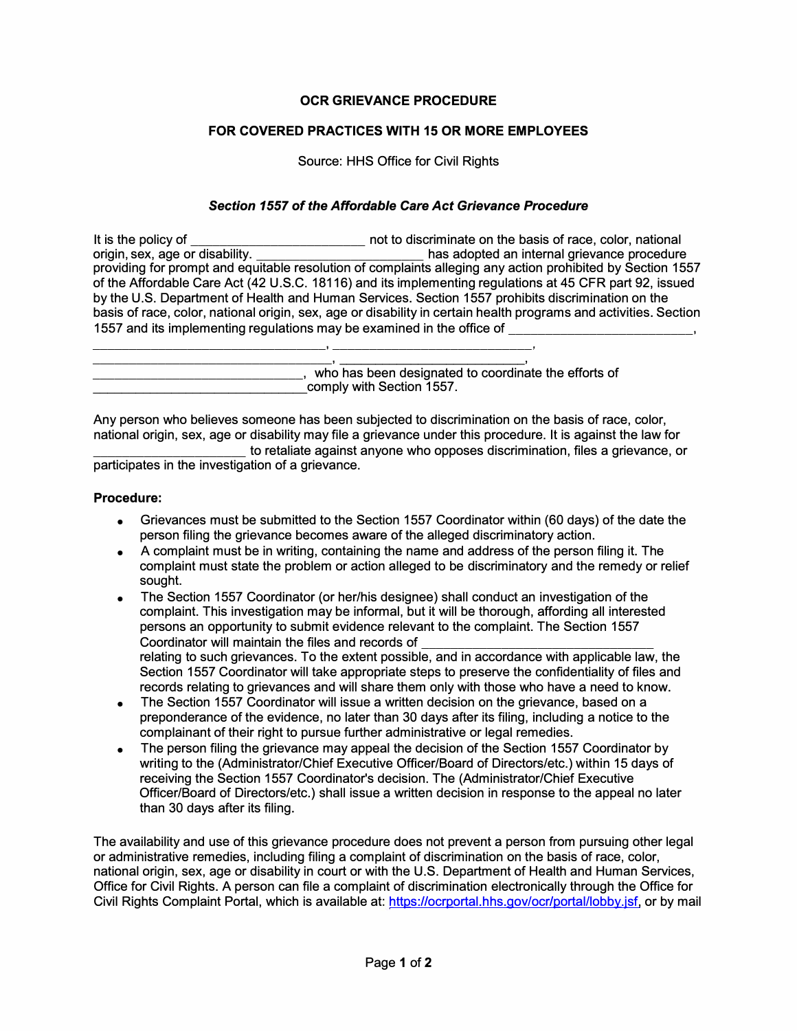## **OCR GRIEVANCE PROCEDURE**

## **FOR COVERED PRACTICES WITH 15 OR MORE EMPLOYEES**

Source: HHS Office for Civil Rights

## *Section 1557 of the Affordable Care Act Grievance Procedure*

| It is the policy of                                                    | not to discriminate on the basis of race, color, national                                                        |
|------------------------------------------------------------------------|------------------------------------------------------------------------------------------------------------------|
| origin, sex, age or disability.                                        | has adopted an internal grievance procedure                                                                      |
|                                                                        | providing for prompt and equitable resolution of complaints alleging any action prohibited by Section 1557       |
|                                                                        | of the Affordable Care Act (42 U.S.C. 18116) and its implementing regulations at 45 CFR part 92, issued          |
|                                                                        | by the U.S. Department of Health and Human Services. Section 1557 prohibits discrimination on the                |
|                                                                        | basis of race, color, national origin, sex, age or disability in certain health programs and activities. Section |
| 1557 and its implementing regulations may be examined in the office of |                                                                                                                  |
|                                                                        |                                                                                                                  |

|                           | who has been designated to coordinate the efforts of |
|---------------------------|------------------------------------------------------|
| comply with Section 1557. |                                                      |

Any person who believes someone has been subjected to discrimination on the basis of race, color, national origin, sex, age or disability may file a grievance under this procedure. It is against the law for

to retaliate against anyone who opposes discrimination, files a grievance, or participates in the investigation of a grievance.

## **Procedure:**

- Grievances must be submitted to the Section 1557 Coordinator within (60 days) of the date the person filing the grievance becomes aware of the alleged discriminatory action.
- A complaint must be in writing, containing the name and address of the person filing it. The complaint must state the problem or action alleged to be discriminatory and the remedy or relief sought.
- The Section 1557 Coordinator (or her/his designee) shall conduct an investigation of the complaint. This investigation may be informal, but it will be thorough, affording all interested persons an opportunity to submit evidence relevant to the complaint. The Section 1557 Coordinator will maintain the files and records of *\_\_\_\_\_\_\_\_\_\_\_\_\_\_\_\_\_\_\_\_\_\_\_\_\_\_\_\_\_\_\_\_* relating to such grievances. To the extent possible, and in accordance with applicable law, the Section 1557 Coordinator will take appropriate steps to preserve the confidentiality of files and records relating to grievances and will share them only with those who have a need to know.
- The Section 1557 Coordinator will issue a written decision on the grievance, based on a preponderance of the evidence, no later than 30 days after its filing, including a notice to the complainant of their right to pursue further administrative or legal remedies.
- The person filing the grievance may appeal the decision of the Section 1557 Coordinator by writing to the (Administrator/Chief Executive Officer/Board of Directors/etc.) within 15 days of receiving the Section 1557 Coordinator's decision. The (Administrator/Chief Executive Officer/Board of Directors/etc.) shall issue a written decision in response to the appeal no later than 30 days after its filing.

The availability and use of this grievance procedure does not prevent a person from pursuing other legal or administrative remedies, including filing a complaint of discrimination on the basis of race, color, national origin, sex, age or disability in court or with the U.S. Department of Health and Human Services, Office for Civil Rights. A person can file a complaint of discrimination electronically through the Office for Civil Rights Complaint Portal, which is available at: https://ocrportal.hhs.gov/ocr/portal/lobby.jsf, or by mail